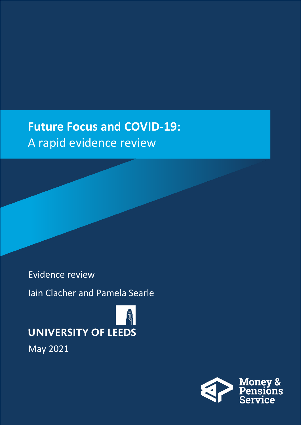### **Future Focus and COVID-19:**  A rapid evidence review

### Evidence review

Iain Clacher and Pamela Searle

# **UNIVERSITY OF LEEDS**

May 2021

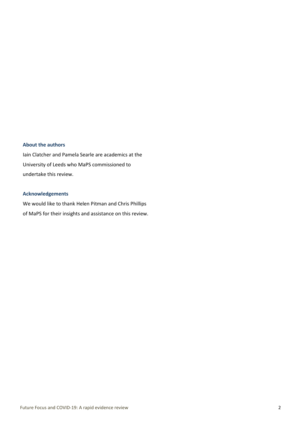#### **About the authors**

Iain Clatcher and Pamela Searle are academics at the University of Leeds who MaPS commissioned to undertake this review.

#### **Acknowledgements**

We would like to thank Helen Pitman and Chris Phillips of MaPS for their insights and assistance on this review.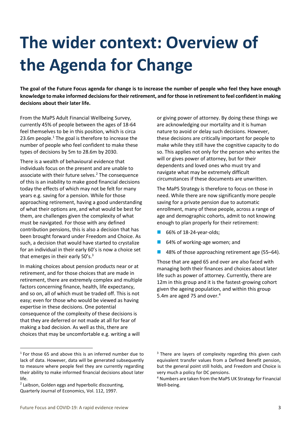### **The wider context: Overview of the Agenda for Change**

**The goal of the Future Focus agenda for change is to increase the number of people who feel they have enough knowledge to make informed decisions for their retirement, and for those in retirement to feel confident in making decisions about their later life.**

From the MaPS Adult Financial Wellbeing Survey, currently 45% of people between the ages of 18-64 feel themselves to be in this position, which is circa 23.6m people. $1$  The goal is therefore to increase the number of people who feel confident to make these types of decisions by 5m to 28.6m by 2030.

There is a wealth of behavioural evidence that individuals focus on the present and are unable to associate with their future selves.<sup>2</sup> The consequence of this is an inability to make good financial decisions today the effects of which may not be felt for many years e.g. saving for a pension. While for those approaching retirement, having a good understanding of what their options are, and what would be best for them, are challenges given the complexity of what must be navigated. For those with any defined contribution pensions, this is also a decision that has been brought forward under Freedom and Choice. As such, a decision that would have started to crystalize for an individual in their early 60's is now a choice set that emerges in their early 50's. $3$ 

In making choices about pension products near or at retirement, and for those choices that are made in retirement, there are extremely complex and multiple factors concerning finance, health, life expectancy, and so on, all of which must be traded off. This is not easy; even for those who would be viewed as having expertise in these decisions. One potential consequence of the complexity of these decisions is that they are deferred or not made at all for fear of making a bad decision. As well as this, there are choices that may be uncomfortable e.g. writing a will

 $1$  For those 65 and above this is an inferred number due to lack of data. However, data will be generated subsequently to measure where people feel they are currently regarding their ability to make informed financial decisions about later life.

<sup>2</sup> Laibson, Golden eggs and hyperbolic discounting, Quarterly Journal of Economics, Vol. 112, 1997.

or giving power of attorney. By doing these things we are acknowledging our mortality and it is human nature to avoid or delay such decisions. However, these decisions are critically important for people to make while they still have the cognitive capacity to do so. This applies not only for the person who writes the will or gives power of attorney, but for their dependents and loved ones who must try and navigate what may be extremely difficult circumstances if these documents are unwritten.

The MaPS Strategy is therefore to focus on those in need. While there are now significantly more people saving for a private pension due to automatic enrollment, many of these people, across a range of age and demographic cohorts, admit to not knowing enough to plan properly for their retirement:

- ◼ 66% of 18-24-year-olds;
- 64% of working-age women; and
- 48% of those approaching retirement age (55-64).

Those that are aged 65 and over are also faced with managing both their finances and choices about later life such as power of attorney. Currently, there are 12m in this group and it is the fastest-growing cohort given the ageing population, and within this group 5.4m are aged 75 and over.<sup>4</sup>

 $3$  There are layers of complexity regarding this given cash equivalent transfer values from a Defined Benefit pension, but the general point still holds, and Freedom and Choice is very much a policy for DC pensions.

<sup>4</sup> Numbers are taken from the MaPS UK Strategy for Financial Well-being.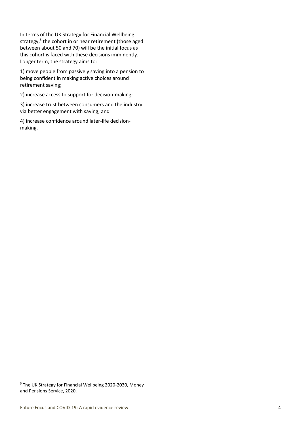In terms of the UK Strategy for Financial Wellbeing strategy, 5 the cohort in or near retirement (those aged between about 50 and 70) will be the initial focus as this cohort is faced with these decisions imminently. Longer term, the strategy aims to:

1) move people from passively saving into a pension to being confident in making active choices around retirement saving;

2) increase access to support for decision-making;

3) increase trust between consumers and the industry via better engagement with saving; and

4) increase confidence around later-life decisionmaking.

<sup>5</sup> The UK Strategy for Financial Wellbeing 2020-2030, Money and Pensions Service, 2020.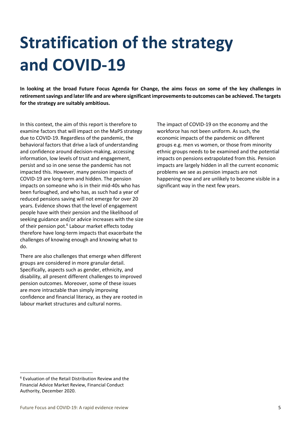### **Stratification of the strategy and COVID-19**

**In looking at the broad Future Focus Agenda for Change, the aims focus on some of the key challenges in retirement savings and later life and are where significant improvements to outcomes can be achieved. The targets for the strategy are suitably ambitious.** 

In this context, the aim of this report is therefore to examine factors that will impact on the MaPS strategy due to COVID-19. Regardless of the pandemic, the behavioral factors that drive a lack of understanding and confidence around decision-making, accessing information, low levels of trust and engagement, persist and so in one sense the pandemic has not impacted this. However, many pension impacts of COVID-19 are long-term and hidden. The pension impacts on someone who is in their mid-40s who has been furloughed, and who has, as such had a year of reduced pensions saving will not emerge for over 20 years. Evidence shows that the level of engagement people have with their pension and the likelihood of seeking guidance and/or advice increases with the size of their pension pot.<sup>6</sup> Labour market effects today therefore have long-term impacts that exacerbate the challenges of knowing enough and knowing what to do.

There are also challenges that emerge when different groups are considered in more granular detail. Specifically, aspects such as gender, ethnicity, and disability, all present different challenges to improved pension outcomes. Moreover, some of these issues are more intractable than simply improving confidence and financial literacy, as they are rooted in labour market structures and cultural norms.

The impact of COVID-19 on the economy and the workforce has not been uniform. As such, the economic impacts of the pandemic on different groups e.g. men vs women, or those from minority ethnic groups needs to be examined and the potential impacts on pensions extrapolated from this. Pension impacts are largely hidden in all the current economic problems we see as pension impacts are not happening now and are unlikely to become visible in a significant way in the next few years.

<sup>6</sup> Evaluation of the Retail Distribution Review and the Financial Advice Market Review, Financial Conduct Authority, December 2020.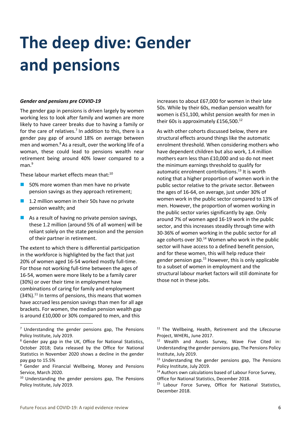### **The deep dive: Gender and pensions**

#### *Gender and pensions pre COVID-19*

The gender gap in pensions is driven largely by women working less to look after family and women are more likely to have career breaks due to having a family or for the care of relatives.<sup>7</sup> In addition to this, there is a gender pay gap of around 18% on average between men and women.<sup>8</sup> As a result, over the working life of a woman, these could lead to pensions wealth near retirement being around 40% lower compared to a man.<sup>9</sup>

These labour market effects mean that:<sup>10</sup>

- 50% more women than men have no private pension savings as they approach retirement;
- 1.2 million women in their 50s have no private pension wealth; and
- $\blacksquare$  As a result of having no private pension savings, these 1.2 million (around 5% of all women) will be reliant solely on the state pension and the pension of their partner in retirement.

The extent to which there is differential participation in the workforce is highlighted by the fact that just 20% of women aged 16-54 worked mostly full-time. For those not working full-time between the ages of 16-54, women were more likely to be a family carer (30%) or over their time in employment have combinations of caring for family and employment  $(34%)$ .<sup>11</sup> In terms of pensions, this means that women have accrued less pension savings than men for all age brackets. For women, the median pension wealth gap is around £10,000 or 30% compared to men, and this

increases to about £67,000 for women in their late 50s. While by their 60s, median pension wealth for women is £51,100, whilst pension wealth for men in their 60s is approximately £156,500.<sup>12</sup>

As with other cohorts discussed below, there are structural effects around things like the automatic enrolment threshold. When considering mothers who have dependent children but also work, 1.4 million mothers earn less than £10,000 and so do not meet the minimum earnings threshold to qualify for automatic enrolment contributions. <sup>13</sup> It is worth noting that a higher proportion of women work in the public sector relative to the private sector. Between the ages of 16-64, on average, just under 30% of women work in the public sector compared to 13% of men. However, the proportion of women working in the public sector varies significantly by age. Only around 7% of women aged 16-19 work in the public sector, and this increases steadily through time with 30-36% of women working in the public sector for all age cohorts over  $30<sup>14</sup>$  Women who work in the public sector will have access to a defined benefit pension, and for these women, this will help reduce their gender pension gap.<sup>15</sup> However, this is only applicable to a subset of women in employment and the structural labour market factors will still dominate for those not in these jobs.

<sup>11</sup> The Wellbeing, Health, Retirement and the Lifecourse Project, WHERL, June 2017.

<sup>12</sup> Wealth and Assets Survey, Wave Five Cited in: Understanding the gender pensions gap, The Pensions Policy Institute, July 2019.

<sup>13</sup> Understanding the gender pensions gap, The Pensions Policy Institute, July 2019.

<sup>14</sup> Authors own calculations based of Labour Force Survey, Office for National Statistics, December 2018.

<sup>15</sup> Labour Force Survey, Office for National Statistics, December 2018.

 $<sup>7</sup>$  Understanding the gender pensions gap, The Pensions</sup> Policy Institute, July 2019.

<sup>8</sup> Gender pay gap in the UK, Office for National Statistics, October 2018; Data released by the Office for National Statistics in November 2020 shows a decline in the gender pay gap to 15.5%

<sup>&</sup>lt;sup>9</sup> Gender and Financial Wellbeing, Money and Pensions Service, March 2020.

<sup>&</sup>lt;sup>10</sup> Understanding the gender pensions gap, The Pensions Policy Institute, July 2019.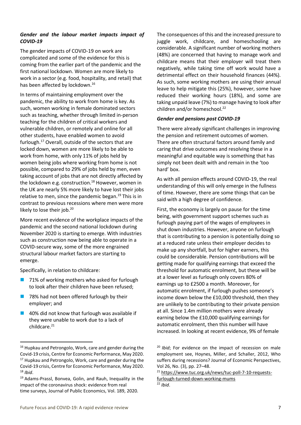#### *Gender and the labour market impacts impact of COVID-19*

The gender impacts of COVID-19 on work are complicated and some of the evidence for this is coming from the earlier part of the pandemic and the first national lockdown. Women are more likely to work in a sector (e.g. food, hospitality, and retail) that has been affected by lockdown.<sup>16</sup>

In terms of maintaining employment over the pandemic, the ability to work from home is key. As such, women working in female dominated sectors such as teaching, whether through limited in-person teaching for the children of critical workers and vulnerable children, or remotely and online for all other students, have enabled women to avoid furlough.<sup>17</sup> Overall, outside of the sectors that are locked down, women are more likely to be able to work from home, with only 11% of jobs held by women being jobs where working from home is not possible, compared to 29% of jobs held by men, even taking account of jobs that are not directly affected by the lockdown e.g. construction.<sup>18</sup> However, women in the UK are nearly 5% more likely to have lost their jobs relative to men, since the pandemic began.<sup>19</sup> This is in contrast to previous recessions where men were more likely to lose their job.<sup>20</sup>

More recent evidence of the workplace impacts of the pandemic and the second national lockdown during November 2020 is starting to emerge. With industries such as construction now being able to operate in a COVID-secure way, some of the more engrained structural labour market factors are starting to emerge.

Specifically, in relation to childcare:

- 71% of working mothers who asked for furlough to look after their children have been refused;
- 78% had not been offered furlough by their employer; and
- ◼ 40% did not know that furlough was available if they were unable to work due to a lack of childcare.<sup>21</sup>

The consequences of this and the increased pressure to juggle work, childcare, and homeschooling are considerable. A significant number of working mothers (48%) are concerned that having to manage work and childcare means that their employer will treat them negatively, while taking time off work would have a detrimental effect on their household finances (44%). As such, some working mothers are using their annual leave to help mitigate this (25%), however, some have reduced their working hours (18%), and some are taking unpaid leave (7%) to manage having to look after children and/or homeschool.<sup>22</sup>

#### *Gender and pensions post COVID-19*

There were already significant challenges in improving the pension and retirement outcomes of women. There are often structural factors around family and caring that drive outcomes and resolving these in a meaningful and equitable way is something that has simply not been dealt with and remain in the 'too hard' box.

As with all pension effects around COVID-19, the real understanding of this will only emerge in the fullness of time. However, there are some things that can be said with a high degree of confidence.

First, the economy is largely on pause for the time being, with government support schemes such as furlough paying part of the wages of employees in shut down industries. However, anyone on furlough that is contributing to a pension is potentially doing so at a reduced rate unless their employer decides to make up any shortfall, but for higher earners, this could be considerable. Pension contributions will be getting made for qualifying earnings that exceed the threshold for automatic enrolment, but these will be at a lower level as furlough only covers 80% of earnings up to £2500 a month. Moreover, for automatic enrolment, if furlough pushes someone's income down below the £10,000 threshold, then they are unlikely to be contributing to their private pension at all. Since 1.4m million mothers were already earning below the £10,000 qualifying earnings for automatic enrolment, then this number will have increased. In looking at recent evidence, 9% of female

<sup>22</sup> *Ibid*.

<sup>16</sup> Hupkau and Petrongolo, Work, care and gender during the Covid-19 crisis, Centre for Economic Performance, May 2020. <sup>17</sup> Hupkau and Petrongolo, Work, care and gender during the Covid-19 crisis, Centre for Economic Performance, May 2020. <sup>18</sup> *Ibid*.

<sup>19</sup> Adams-Prassl, Bonvea, Golin, and Rauh, Inequality in the impact of the coronavirus shock: evidence from real time surveys, Journal of Public Economics, Vol. 189, 2020.

<sup>&</sup>lt;sup>20</sup> *Ibid*; For evidence on the impact of recession on male employment see, Hoynes, Miller, and Schaller, 2012, Who suffers during recessions? Journal of Economic Perspectives, Vol 26, No. (3), pp. 27–48.

<sup>21</sup> [https://www.tuc.org.uk/news/tuc-poll-7-10-requests](https://www.tuc.org.uk/news/tuc-poll-7-10-requests-furlough-turned-down-working-mums)[furlough-turned-down-working-mums](https://www.tuc.org.uk/news/tuc-poll-7-10-requests-furlough-turned-down-working-mums)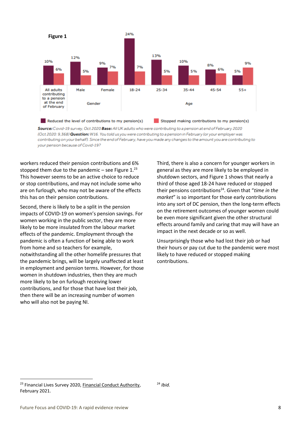

Source: Covid-19 survey, Oct 2020 Base: All UK adults who were contributing to a pension at end of February 2020 (Oct 2020: 9,368) Question: W16. You told us you were contributing to a pension in February (or your employer was contributing on your behalf). Since the end of February, have you made any changes to the amount you are contributing to your pension because of Covid-19?

workers reduced their pension contributions and 6% stopped them due to the pandemic – see Figure  $1.^{23}$ This however seems to be an active choice to reduce or stop contributions, and may not include some who are on furlough, who may not be aware of the effects this has on their pension contributions.

Second, there is likely to be a split in the pension impacts of COVID-19 on women's pension savings. For women working in the public sector, they are more likely to be more insulated from the labour market effects of the pandemic. Employment through the pandemic is often a function of being able to work from home and so teachers for example, notwithstanding all the other homelife pressures that the pandemic brings, will be largely unaffected at least in employment and pension terms. However, for those women in shutdown industries, then they are much more likely to be on furlough receiving lower contributions, and for those that have lost their job, then there will be an increasing number of women who will also not be paying NI.

Third, there is also a concern for younger workers in general as they are more likely to be employed in shutdown sectors, and Figure 1 shows that nearly a third of those aged 18-24 have reduced or stopped their pensions contributions<sup>24</sup>. Given that "time in the *market*" is so important for those early contributions into any sort of DC pension, then the long-term effects on the retirement outcomes of younger women could be even more significant given the other structural effects around family and caring that may will have an impact in the next decade or so as well.

Unsurprisingly those who had lost their job or had their hours or pay cut due to the pandemic were most likely to have reduced or stopped making contributions.

<sup>&</sup>lt;sup>23</sup> Financial Lives Survey 2020, [Financial Conduct Authority,](https://www.fca.org.uk/publication/research/financial-lives-survey-2020.pdf) February 2021.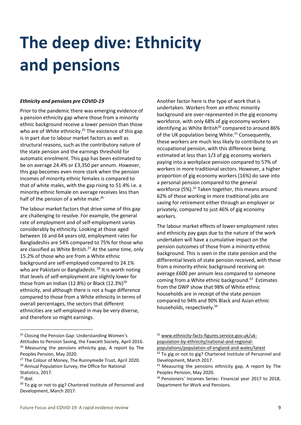### **The deep dive: Ethnicity and pensions**

#### *Ethnicity and pensions pre COVID-19*

Prior to the pandemic there was emerging evidence of a pension ethnicity gap where those from a minority ethnic background receive a lower pension than those who are of White ethnicity.<sup>25</sup> The existence of this gap is in part due to labour market factors as well as structural reasons, such as the contributory nature of the state pension and the earnings threshold for automatic enrolment. This gap has been estimated to be on average 24.4% or £3,350 per annum. However, this gap becomes even more stark when the pension incomes of minority ethnic females is compared to that of white males, with the gap rising to 51.4% i.e. a minority ethnic female on average receives less than half of the pension of a white male.<sup>26</sup>

The labour market factors that drive some of this gap are challenging to resolve. For example, the general rate of employment and of self-employment varies considerably by ethnicity. Looking at those aged between 16 and 64 years old, employment rates for Bangladeshis are 54% compared to 75% for those who are classified as White British. $^{27}$  At the same time, only 15.2% of those who are from a White ethnic background are self-employed compared to 24.1% who are Pakistani or Bangladeshi.<sup>28</sup> It is worth noting that levels of self-employment are slightly lower for those from an Indian (12.8%) or Black  $(12.3\%)^{29}$ ethnicity, and although there is not a huge difference compared to those from a White ethnicity in terms of overall percentages, the sectors that different ethnicities are self-employed in may be very diverse, and therefore so might earnings.

Another factor here is the type of work that is undertaken. Workers from an ethnic minority background are over-represented in the gig economy workforce, with only 68% of gig economy workers identifying as White British<sup>30</sup> compared to around 86% of the UK population being White. $31$  Consequently, these workers are much less likely to contribute to an occupational pension, with this difference being estimated at less than 1/3 of gig economy workers paying into a workplace pension compared to 57% of workers in more traditional sectors. However, a higher proportion of gig economy workers (16%) do save into a personal pension compared to the general workforce (5%).<sup>32</sup> Taken together, this means around 62% of those working in more traditional jobs are saving for retirement either through an employer or privately, compared to just 46% of gig economy workers.

The labour market effects of lower employment rates and ethnicity pay gaps due to the nature of the work undertaken will have a cumulative impact on the pension outcomes of those from a minority ethnic background. This is seen in the state pension and the differential levels of state pension received, with those from a minority ethnic background receiving on average £600 per annum less compared to someone coming from a White ethnic background.<sup>33</sup> Estimates from the DWP show that 98% of White ethnic households are in receipt of the state pension compared to 94% and 90% Black and Asian ethnic households, respectively.<sup>34</sup>

<sup>&</sup>lt;sup>25</sup> Closing the Pension Gap: Understanding Women's Attitudes to Pension Saving, the Fawcett Society, April 2016. <sup>26</sup> Measuring the pensions ethnicity gap, A report by The Peoples Pension, May 2020.

<sup>&</sup>lt;sup>27</sup> The Colour of Money, The Runnymede Trust, April 2020. <sup>28</sup> Annual Population Survey, the Office for National Statistics, 2017.

<sup>29</sup> *Ibid*.

<sup>&</sup>lt;sup>30</sup> To gig or not to gig? Chartered Institute of Personnel and Development, March 2017.

<sup>31</sup> [www.ethnicity-facts-figures.service.gov.uk/uk](http://www.ethnicity-facts-figures.service.gov.uk/uk-population-by-ethnicity/national-and-regional-populations/population-of-england-and-wales/latest)[population-by-ethnicity/national-and-regional-](http://www.ethnicity-facts-figures.service.gov.uk/uk-population-by-ethnicity/national-and-regional-populations/population-of-england-and-wales/latest)

[populations/population-of-england-and-wales/latest](http://www.ethnicity-facts-figures.service.gov.uk/uk-population-by-ethnicity/national-and-regional-populations/population-of-england-and-wales/latest)

<sup>&</sup>lt;sup>32</sup> To gig or not to gig? Chartered Institute of Personnel and Development, March 2017.

 $33$  Measuring the pensions ethnicity gap, A report by The Peoples Pension, May 2020.

<sup>&</sup>lt;sup>34</sup> Pensioners' Incomes Series: Financial year 2017 to 2018, Department for Work and Pensions.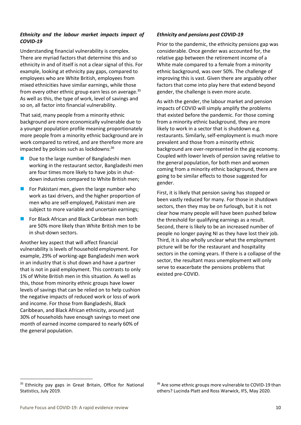#### *Ethnicity and the labour market impacts impact of COVID-19*

Understanding financial vulnerability is complex. There are myriad factors that determine this and so ethnicity in and of itself is not a clear signal of this. For example, looking at ethnicity pay gaps, compared to employees who are White British, employees from mixed ethnicities have similar earnings, while those from every other ethnic group earn less on average.<sup>35</sup> As well as this, the type of work, level of savings and so on, all factor into financial vulnerability.

That said, many people from a minority ethnic background are more economically vulnerable due to a younger population profile meaning proportionately more people from a minority ethnic background are in work compared to retired, and are therefore more are impacted by policies such as lockdowns: 36

- Due to the large number of Bangladeshi men working in the restaurant sector, Bangladeshi men are four times more likely to have jobs in shutdown industries compared to White British men;
- For Pakistani men, given the large number who work as taxi drivers, and the higher proportion of men who are self-employed, Pakistani men are subject to more variable and uncertain earnings;
- For Black African and Black Caribbean men both are 50% more likely than White British men to be in shut-down sectors.

Another key aspect that will affect financial vulnerability is levels of household employment. For example, 29% of working-age Bangladeshi men work in an industry that is shut down and have a partner that is not in paid employment. This contrasts to only 1% of White British men in this situation. As well as this, those from minority ethnic groups have lower levels of savings that can be relied on to help cushion the negative impacts of reduced work or loss of work and income. For those from Bangladeshi, Black Caribbean, and Black African ethnicity, around just 30% of households have enough savings to meet one month of earned income compared to nearly 60% of the general population.

#### *Ethnicity and pensions post COVID-19*

Prior to the pandemic, the ethnicity pensions gap was considerable. Once gender was accounted for, the relative gap between the retirement income of a White male compared to a female from a minority ethnic background, was over 50%. The challenge of improving this is vast. Given there are arguably other factors that come into play here that extend beyond gender, the challenge is even more acute.

As with the gender, the labour market and pension impacts of COVID will simply amplify the problems that existed before the pandemic. For those coming from a minority ethnic background, they are more likely to work in a sector that is shutdown e.g. restaurants. Similarly, self-employment is much more prevalent and those from a minority ethnic background are over-represented in the gig economy. Coupled with lower levels of pension saving relative to the general population, for both men and women coming from a minority ethnic background, there are going to be similar effects to those suggested for gender.

First, it is likely that pension saving has stopped or been vastly reduced for many. For those in shutdown sectors, then they may be on furlough, but it is not clear how many people will have been pushed below the threshold for qualifying earnings as a result. Second, there is likely to be an increased number of people no longer paying NI as they have lost their job. Third, it is also wholly unclear what the employment picture will be for the restaurant and hospitality sectors in the coming years. If there is a collapse of the sector, the resultant mass unemployment will only serve to exacerbate the pensions problems that existed pre-COVID.

<sup>36</sup> Are some ethnic groups more vulnerable to COVID-19 than others? Lucinda Platt and Ross Warwick, IFS, May 2020.

<sup>&</sup>lt;sup>35</sup> Ethnicity pay gaps in Great Britain, Office for National Statistics, July 2019.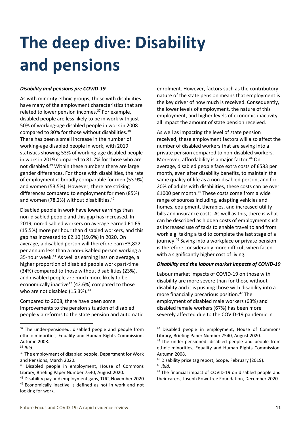## **The deep dive: Disability and pensions**

#### *Disability and pensions pre COVID-19*

As with minority ethnic groups, those with disabilities have many of the employment characteristics that are related to lower pension incomes.<sup>37</sup> For example, disabled people are less likely to be in work with just 50% of working-age disabled people in work in 2008 compared to 80% for those without disabilities.<sup>38</sup> There has been a small increase in the number of working-age disabled people in work, with 2019 statistics showing 53% of working-age disabled people in work in 2019 compared to 81.7% for those who are not disabled.<sup>39</sup> Within these numbers there are large gender differences. For those with disabilities, the rate of employment is broadly comparable for men (53.9%) and women (53.5%). However, there are striking differences compared to employment for men (85%) and women (78.2%) without disabilities.<sup>40</sup>

Disabled people in work have lower earnings than non-disabled people and this gap has increased. In 2019, non-disabled workers on average earned £1.65 (15.5%) more per hour than disabled workers, and this gap has increased to £2.10 (19.6%) in 2020. On average, a disabled person will therefore earn £3,822 per annum less than a non-disabled person working a 35-hour week. $41$  As well as earning less on average, a higher proportion of disabled people work part-time (34%) compared to those without disabilities (23%), and disabled people are much more likely to be economically inactive<sup>42</sup> (42.6%) compared to those who are not disabled  $(15.3\%)$ .<sup>43</sup>

Compared to 2008, there have been some improvements to the pension situation of disabled people via reforms to the state pension and automatic enrolment. However, factors such as the contributory nature of the state pension means that employment is the key driver of how much is received. Consequently, the lower levels of employment, the nature of this employment, and higher levels of economic inactivity all impact the amount of state pension received.

As well as impacting the level of state pension received, these employment factors will also affect the number of disabled workers that are saving into a private pension compared to non-disabled workers. Moreover, affordability is a major factor.<sup>44</sup> On average, disabled people face extra costs of £583 per month, even after disability benefits, to maintain the same quality of life as a non-disabled person, and for 20% of adults with disabilities, these costs can be over £1000 per month.<sup>45</sup> These costs come from a wide range of sources including, adapting vehicles and homes, equipment, therapies, and increased utility bills and insurance costs. As well as this, there is what can be described as hidden costs of employment such as increased use of taxis to enable travel to and from work e.g. taking a taxi to complete the last stage of a journey.<sup>46</sup> Saving into a workplace or private pension is therefore considerably more difficult when faced with a significantly higher cost of living.

#### *Disability and the labour market impacts of COVID-19*

Labour market impacts of COVID-19 on those with disability are more severe than for those without disability and it is pushing those with disability into a more financially precarious position.<sup>47</sup> The employment of disabled male workers (63%) and disabled female workers (67%) has been more severely affected due to the COVID-19 pandemic in

<sup>&</sup>lt;sup>37</sup> The under-pensioned: disabled people and people from ethnic minorities, Equality and Human Rights Commission, Autumn 2008.

<sup>38</sup> *Ibid.*

<sup>&</sup>lt;sup>39</sup> The employment of disabled people, Department for Work and Pensions, March 2020.

<sup>&</sup>lt;sup>40</sup> Disabled people in employment, House of Commons Library, Briefing Paper Number 7540, August 2020.

<sup>&</sup>lt;sup>41</sup> Disability pay and employment gaps, TUC, November 2020. <sup>42</sup> Economically inactive is defined as not in work and not looking for work.

<sup>&</sup>lt;sup>43</sup> Disabled people in employment, House of Commons Library, Briefing Paper Number 7540, August 2020. <sup>44</sup> The under-pensioned: disabled people and people from ethnic minorities, Equality and Human Rights Commission, Autumn 2008.

<sup>45</sup> Disability price tag report, Scope, February (2019). <sup>46</sup> *Ibid.*

<sup>&</sup>lt;sup>47</sup> The financial impact of COVID-19 on disabled people and their carers, Joseph Rowntree Foundation, December 2020.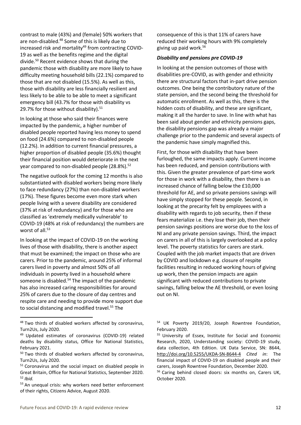contrast to male (43%) and (female) 50% workers that are non-disabled.<sup>48</sup> Some of this is likely due to increased risk and mortality<sup>49</sup> from contracting COVID-19 as well as the benefits regime and the digital divide.<sup>50</sup> Recent evidence shows that during the pandemic those with disability are more likely to have difficulty meeting household bills (22.1%) compared to those that are not disabled (15.5%). As well as this, those with disability are less financially resilient and less likely to be able to be able to meet a significant emergency bill (43.7% for those with disability vs 29.7% for those without disability). $51$ 

In looking at those who said their finances were impacted by the pandemic, a higher number of disabled people reported having less money to spend on food (24.6%) compared to non-disabled people (12.2%). In addition to current financial pressures, a higher proportion of disabled people (35.6%) thought their financial position would deteriorate in the next year compared to non-disabled people (28.8%). $52$ 

The negative outlook for the coming 12 months is also substantiated with disabled workers being more likely to face redundancy (27%) than non-disabled workers (17%). These figures become even more stark when people living with a severe disability are considered (37% at risk of redundancy) and for those who are classified as 'extremely medically vulnerable' to COVID-19 (48% at risk of redundancy) the numbers are worst of all.<sup>53</sup>

In looking at the impact of COVID-19 on the working lives of those with disability, there is another aspect that must be examined; the impact on those who are carers. Prior to the pandemic, around 25% of informal carers lived in poverty and almost 50% of all individuals in poverty lived in a household where someone is disabled.<sup>54</sup> The impact of the pandemic has also increased caring responsibilities for around 25% of carers due to the closure of day centres and respite care and needing to provide more support due to social distancing and modified travel.<sup>55</sup> The

consequence of this is that 11% of carers have reduced their working hours with 9% completely giving up paid work.<sup>56</sup>

#### *Disability and pensions pre COVID-19*

In looking at the pension outcomes of those with disabilities pre-COVID, as with gender and ethnicity there are structural factors that in-part drive pension outcomes. One being the contributory nature of the state pension, and the second being the threshold for automatic enrollment. As well as this, there is the hidden costs of disability, and these are significant, making it all the harder to save. In line with what has been said about gender and ethnicity pensions gaps, the disability pensions gap was already a major challenge prior to the pandemic and several aspects of the pandemic have simply magnified this.

First, for those with disability that have been furloughed, the same impacts apply. Current income has been reduced, and pension contributions with this. Given the greater prevalence of part-time work for those in work with a disability, then there is an increased chance of falling below the £10,000 threshold for AE, and so private pensions savings will have simply stopped for these people. Second, in looking at the precarity felt by employees with a disability with regards to job security, then if these fears materialize i.e. they lose their job, then their pension savings positions are worse due to the loss of NI and any private pension savings. Third, the impact on carers in all of this is largely overlooked at a policy level. The poverty statistics for carers are stark. Coupled with the job market impacts that are driven by COVID and lockdown e.g. closure of respite facilities resulting in reduced working hours of giving up work, then the pension impacts are again significant with reduced contributions to private savings, falling below the AE threshold, or even losing out on NI.

<sup>48</sup> Two thirds of disabled workers affected by coronavirus, Turn2Us, July 2020.

<sup>49</sup> Updated estimates of coronavirus (COVID-19) related deaths by disability status, Office for National Statistics, February 2021.

<sup>&</sup>lt;sup>50</sup> Two thirds of disabled workers affected by coronavirus, Turn2Us, July 2020.

<sup>&</sup>lt;sup>51</sup> Coronavirus and the social impact on disabled people in Great Britain, Office for National Statistics, September 2020. <sup>52</sup> *Ibid.*

<sup>&</sup>lt;sup>53</sup> An unequal crisis: why workers need better enforcement of their rights, Citizens Advice, August 2020.

<sup>54</sup> UK Poverty 2019/20, Joseph Rowntree Foundation, February 2020.

<sup>55</sup> University of Essex, Institute for Social and Economic Research, 2020, Understanding society: COVID-19 study, data collection, 4th Edition. UK Data Service, SN: 8644, <http://doi.org/10.5255/UKDA-SN-8644-4> *Cited in*: The financial impact of COVID-19 on disabled people and their carers, Joseph Rowntree Foundation, December 2020.

<sup>56</sup> Caring behind closed doors: six months on, Carers UK, October 2020.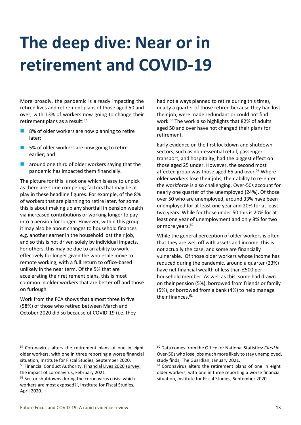### **The deep dive: Near or in retirement and COVID-19**

More broadly, the pandemic is already impacting the retired lives and retirement plans of those aged 50 and over, with 13% of workers now going to change their retirement plans as a result:<sup>57</sup>

- 8% of older workers are now planning to retire later;
- 5% of older workers are now going to retire earlier; and
- $\blacksquare$  around one third of older workers saying that the pandemic has impacted them financially.

The picture for this is not one which is easy to unpick as there are some competing factors that may be at play in these headline figures. For example, of the 8% of workers that are planning to retire later, for some this is about making up any shortfall in pension wealth via increased contributions or working longer to pay into a pension for longer. However, within this group it may also be about changes to household finances e.g. another earner in the household lost their job, and so this is not driven solely by individual impacts. For others, this may be due to an ability to work effectively for longer given the wholesale move to remote working, with a full return to office-based unlikely in the near term. Of the 5% that are accelerating their retirement plans, this is most common in older workers that are better off and those on furlough.

Work from the FCA shows that almost three in five (58%) of those who retired between March and October 2020 did so because of COVID-19 (i.e. they had not always planned to retire during this time), nearly a quarter of those retired because they had lost their job, were made redundant or could not find work. <sup>58</sup> The work also highlights that 82% of adults aged 50 and over have not changed their plans for retirement.

Early evidence on the first lockdown and shutdown sectors, such as non-essential retail, passenger transport, and hospitality, had the biggest effect on those aged 25 under. However, the second most affected group was those aged 65 and over.<sup>59</sup> Where older workers lose their jobs, their ability to re-enter the workforce is also challenging. Over-50s account for nearly one quarter of the unemployed (24%). Of those over 50 who are unemployed, around 33% have been unemployed for at least one year and 20% for at least two years. While for those under 50 this is 20% for at least one year of unemployment and only 8% for two or more years.<sup>60</sup>

While the general perception of older workers is often that they are well off with assets and income, this is not actually the case, and some are financially vulnerable. Of those older workers whose income has reduced during the pandemic, around a quarter (23%) have net financial wealth of less than £500 per household member. As well as this, some had drawn on their pension (5%), borrowed from friends or family (5%), or borrowed from a bank (4%) to help manage their finances.<sup>61</sup>

<sup>57</sup> Coronavirus alters the retirement plans of one in eight older workers, with one in three reporting a worse financial situation, Institute for Fiscal Studies, September 2020. 58 Financial Conduct Authority, Financial Lives 2020 survey: [the impact of coronavirus,](https://www.fca.org.uk/publication/research/financial-lives-survey-2020.pdf) February 2021

<sup>59</sup> Sector shutdowns during the coronavirus crisis: which workers are most exposed?', Institute for Fiscal Studies, April 2020.

<sup>60</sup> Data comes from the Office for National Statistics: *Cited in*, Over-50s who lose jobs much more likely to stay unemployed, study finds, The Guardian, January 2021.

 $61$  Coronavirus alters the retirement plans of one in eight older workers, with one in three reporting a worse financial situation, Institute for Fiscal Studies, September 2020.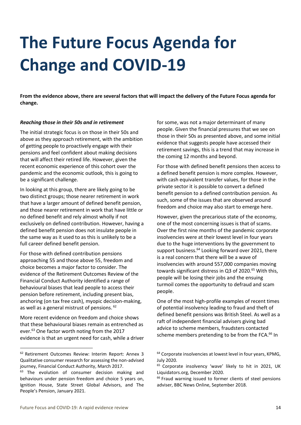### **The Future Focus Agenda for Change and COVID-19**

**From the evidence above, there are several factors that will impact the delivery of the Future Focus agenda for change.**

#### *Reaching those in their 50s and in retirement*

The initial strategic focus is on those in their 50s and above as they approach retirement, with the ambition of getting people to proactively engage with their pensions and feel confident about making decisions that will affect their retired life. However, given the recent economic experience of this cohort over the pandemic and the economic outlook, this is going to be a significant challenge.

In looking at this group, there are likely going to be two distinct groups; those nearer retirement in work that have a larger amount of defined benefit pension, and those nearer retirement in work that have little or no defined benefit and rely almost wholly if not exclusively on defined contribution. However, having a defined benefit pension does not insulate people in the same way as it used to as this is unlikely to be a full career defined benefit pension.

For those with defined contribution pensions approaching 55 and those above 55, freedom and choice becomes a major factor to consider. The evidence of the Retirement Outcomes Review of the Financial Conduct Authority identified a range of behavioural biases that lead people to access their pension before retirement, including present bias, anchoring (on tax free cash), myopic decision-making, as well as a general mistrust of pensions. <sup>62</sup>

More recent evidence on freedom and choice shows that these behavioural biases remain as entrenched as ever.<sup>63</sup> One factor worth noting from the 2017 evidence is that an urgent need for cash, while a driver for some, was not a major determinant of many people. Given the financial pressures that we see on those in their 50s as presented above, and some initial evidence that suggests people have accessed their retirement savings, this is a trend that may increase in the coming 12 months and beyond.

For those with defined benefit pensions then access to a defined benefit pension is more complex. However, with cash equivalent transfer values, for those in the private sector it is possible to convert a defined benefit pension to a defined contribution pension. As such, some of the issues that are observed around freedom and choice may also start to emerge here.

However, given the precarious state of the economy, one of the most concerning issues is that of scams. Over the first nine months of the pandemic corporate insolvencies were at their lowest level in four years due to the huge interventions by the government to support business.<sup>64</sup> Looking forward over 2021, there is a real concern that there will be a wave of insolvencies with around 557,000 companies moving towards significant distress in Q3 of 2020.<sup>65</sup> With this, people will be losing their jobs and the ensuing turmoil comes the opportunity to defraud and scam people.

One of the most high-profile examples of recent times of potential insolvency leading to fraud and theft of defined benefit pensions was British Steel. As well as a raft of independent financial advisers giving bad advice to scheme members, fraudsters contacted scheme members pretending to be from the FCA.<sup>66</sup> In

<sup>62</sup> Retirement Outcomes Review: Interim Report: Annex 3 Qualitative consumer research for assessing the non-advised journey, Financial Conduct Authority, March 2017.

 $63$  The evolution of consumer decision making and behaviours under pension freedom and choice 5 years on, Ignition House, State Street Global Advisors, and The People's Pension, January 2021.

<sup>&</sup>lt;sup>64</sup> Corporate insolvencies at lowest level in four years, KPMG, July 2020.

<sup>&</sup>lt;sup>65</sup> Corporate insolvency 'wave' likely to hit in 2021, UK Liquidators.org, December 2020.

<sup>66</sup> Fraud warning issued to former clients of steel pensions adviser, BBC News Online, September 2018.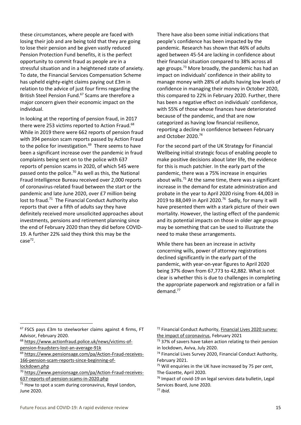these circumstances, where people are faced with losing their job and are being told that they are going to lose their pension and be given vastly reduced Pension Protection Fund benefits, it is the perfect opportunity to commit fraud as people are in a stressful situation and in a heightened state of anxiety. To date, the Financial Services Compensation Scheme has upheld eighty-eight claims paying out £3m in relation to the advice of just four firms regarding the British Steel Pension Fund.<sup>67</sup> Scams are therefore a major concern given their economic impact on the individual.

In looking at the reporting of pension fraud, in 2017 there were 253 victims reported to Action Fraud.<sup>68</sup> While in 2019 there were 662 reports of pension fraud with 394 pension scam reports passed by Action Fraud to the police for investigation.<sup>69</sup> There seems to have been a significant increase over the pandemic in fraud complaints being sent on to the police with 637 reports of pension scams in 2020, of which 545 were passed onto the police.<sup>70</sup> As well as this, the National Fraud Intelligence Bureau received over 2,000 reports of coronavirus-related fraud between the start or the pandemic and late June 2020, over £7 million being lost to fraud.<sup>71</sup> The Financial Conduct Authority also reports that over a fifth of adults say they have definitely received more unsolicited approaches about investments, pensions and retirement planning since the end of February 2020 than they did before COVID-19. A further 22% said they think this may be the  $case^{72}$ .

There have also been some initial indications that people's confidence has been impacted by the pandemic. Research has shown that 46% of adults aged between 45-54 are lacking in confidence about their financial situation compared to 38% across all age groups.<sup>73</sup> More broadly, the pandemic has had an impact on individuals' confidence in their ability to manage money with 28% of adults having low levels of confidence in managing their money in October 2020, this compared to 22% in February 2020. Further, there has been a negative effect on individuals' confidence, with 55% of those whose finances have deteriorated because of the pandemic, and that are now categorized as having low financial resilience, reporting a decline in confidence between February and October 2020. 74

For the second part of the UK Strategy for Financial Wellbeing initial strategic focus of enabling people to make positive decisions about later life, the evidence for this is much patchier. In the early part of the pandemic, there was a 75% increase in enquiries about wills.<sup>75</sup> At the same time, there was a significant increase in the demand for estate administration and probate in the year to April 2020 rising from 44,003 in 2019 to 88,049 in April 2020.<sup>76</sup> Sadly, for many it will have presented them with a stark picture of their own mortality. However, the lasting effect of the pandemic and its potential impacts on those in older age groups may be something that can be used to illustrate the need to make these arrangements.

While there has been an increase in activity concerning wills, power of attorney registrations declined significantly in the early part of the pandemic, with year-on-year figures to April 2020 being 37% down from 67,773 to 42,882. What is not clear is whether this is due to challenges in completing the appropriate paperwork and registration or a fall in demand.<sup>77</sup>

<sup>67</sup> FSCS pays £3m to steelworker claims against 4 firms, FT Advisor, February 2020.

<sup>68</sup> [https://www.actionfraud.police.uk/news/victims-of-](https://www.actionfraud.police.uk/news/victims-of-pension-fraudsters-lost-an-average-91k)

[pension-fraudsters-lost-an-average-91k](https://www.actionfraud.police.uk/news/victims-of-pension-fraudsters-lost-an-average-91k)

<sup>69</sup> [https://www.pensionsage.com/pa/Action-Fraud-receives-](https://www.pensionsage.com/pa/Action-Fraud-receives-166-pension-scam-reports-since-beginning-of-lockdown.php)[166-pension-scam-reports-since-beginning-of-](https://www.pensionsage.com/pa/Action-Fraud-receives-166-pension-scam-reports-since-beginning-of-lockdown.php)

[lockdown.php](https://www.pensionsage.com/pa/Action-Fraud-receives-166-pension-scam-reports-since-beginning-of-lockdown.php)

<sup>70</sup> [https://www.pensionsage.com/pa/Action-Fraud-receives-](https://www.pensionsage.com/pa/Action-Fraud-receives-637-reports-of-pension-scams-in-2020.php)[637-reports-of-pension-scams-in-2020.php](https://www.pensionsage.com/pa/Action-Fraud-receives-637-reports-of-pension-scams-in-2020.php)

<sup>&</sup>lt;sup>71</sup> How to spot a scam during coronavirus, Royal London, June 2020.

<sup>72</sup> Financial Conduct Authority, [Financial Lives 2020 survey:](https://www.fca.org.uk/publication/research/financial-lives-survey-2020.pdf)  [the impact of coronavirus,](https://www.fca.org.uk/publication/research/financial-lives-survey-2020.pdf) February 2021

<sup>73 37%</sup> of savers have taken action relating to their pension in lockdown, Aviva, July 2020.

<sup>74</sup> Financial Lives Survey 2020, Financial Conduct Authority, February 2021.

 $75$  Will enquiries in the UK have increased by 75 per cent, The Gazette, April 2020.

<sup>&</sup>lt;sup>76</sup> Impact of covid-19 on legal services data bulletin, Legal Services Board, June 2020.

<sup>77</sup> *Ibid.*